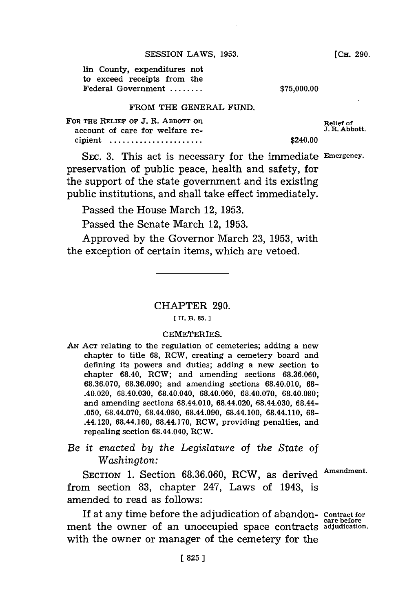| lin County, expenditures not |             |
|------------------------------|-------------|
| to exceed receipts from the  |             |
| Federal Government           | \$75,000.00 |

### FROM THE **GENERAL FUND.**

| FOR THE RELIEF OF J. R. ABBOTT ON<br>account of care for welfare re- | Relief of<br>J. R. Abbott |
|----------------------------------------------------------------------|---------------------------|
|                                                                      |                           |
| cipient                                                              | \$240.00                  |

SEC. **3.** This act is necessary for the immediate **Emergency.** preservation of public peace, health and safety, for the support of the state government and its existing public institutions, and shall take effect immediately.

Passed the House March 12, **1953.**

Passed the Senate March 12, **1953.**

Approved **by** the Governor March **23, 1953,** with the exception of certain items, which are vetoed.

# CHAPTER **290.**

#### **[ H. B. 85.]1**

### CEMETERIES.

- **AN ACT** relating to the regulation of cemeteries; adding a new chapter to title **68,** RCW, creating a cemetery board and defining its powers and duties; adding a new section to chapter 68.40, RCW; and amending sections **68.36.060, 68.36.070, 68.36.090;** and amending sections 68.40.010, **68-** .40.020, **68.40.030,** 68.40.040, **68.40.060, 68.40.070, 68.40.080;** and amending sections 68.44.010, 68.44.020, 68.44.030, 68.44- **.050,** 68.44.070, 68.44.080, 68.44.090, 68.44.100, 68.44.110, **68-** .44.120, 68.44.160, 68.44.170, RCW, providing penalties, and repealing section 68.44.040, RCW.
- *Be it enacted by the Legislature of the State of Washington:*

SECTION **1.** Section **68.36.060,** RCW, as derived Amendment. from section **83,** chapter 247, Laws of 1943, is amended to read as follows:

If at any time before the adjudication of abandon- contract for ment the owner of an unoccupied space contracts **adjudication.** with the owner or manager of the cemetery for the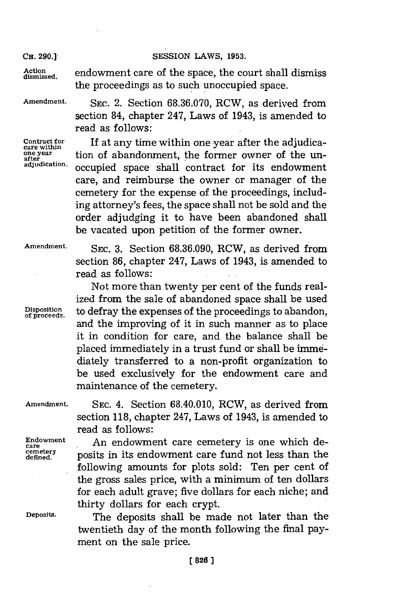Action endowment care of the space, the court shall dismiss the proceedings as to such unoccupied space.

**Amendment. SEC.** 2. Section **68.36.070,** RCW, as derived from section 84, chapter 247, Laws of 1943, is amended to read as follows:

Contract for **If at any time within one year after the adjudica-**<br>care within<br>one year **the propertion of a handonment** the former owner of the unone year<br>
after **a a** tion of abandonment, the former owner of the un-<br>
adjudication.<br>
a contract for its order north **adjudication.** occupied space shall contract for its endowment care, and reimburse the owner or manager of the cemetery for the expense of the proceedings, including attorney's fees, the space shall not be sold and the order adjudging it to have been abandoned shall be vacated upon petition of the former owner.

**Amendment. SEC. 3.** Section **68.36.090,** RCW, as derived from

section **86,** chapter 247, Laws of 1943, is amended to read as follows:

Not more than twenty per cent of the funds realized from the sale of abandoned space shall be used Disposition **to defray the expenses of the proceedings to abandon,**<br>and the improving of it in such manner as to place it in condition for care, and the balance shall be placed immediately in a trust fund or shall be immediately transferred to a non-profit organization to be used exclusively for the endowment care and maintenance of the cemetery.

**Amendment. SEC.** 4. Section 68.40.010, RCW, as derived from

read as follows:

Endowment **An endowment care cemetery is one which de-**<br>cemetery posits in its ondowment care fund not less than the  $\frac{center}{defined}$ . posits in its endowment care fund not less than the following amounts for plots sold: Ten per cent of the gross sales price, with a minimum of ten dollars for each adult grave; five dollars for each niche; and thirty dollars for each crypt.

section **118,** chapter 247, Laws of 1943, is amended to

**Deposits.** The deposits shall be made not later than the twentieth day of the month following the final payment on the sale price.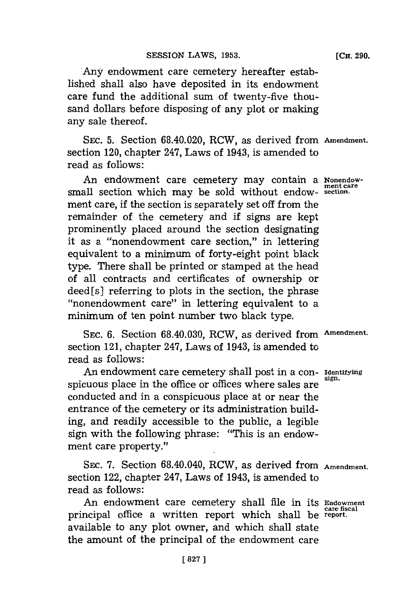Any endowment care cemetery hereafter established shall also have deposited in its endowment care fund the additional sum of twenty-five thousand dollars before disposing of any plot or making any sale thereof.

**SEC. 5.** Section 68.40.020, RCW, as derived from **Amendment.** section 120, chapter 247, Laws of 1943, is amended to read as follows:

An endowment care cemetery may contain a Nonendowsmall section which may be sold without endow- **section.** ment care, if the section is separately set off from the remainder of the cemetery and if signs are kept prominently placed around the section designating it as a "nonendowment care section," in lettering equivalent to a minimum of forty-eight point black type. There shall be printed or stamped at the head of all contracts and certificates of ownership or deed [s] referring to plots in the section, the phrase "nonendowment care" in lettering equivalent to a minimum of ten point number two black type.

SEC. **6.** Section **68.40.030,** RCW, as derived from **Amendment.** section 121, chapter 247, Laws of 1943, is amended to read as follows:

An endowment care cemetery shall post in a con- **Identifying** spicuous place in the office or offices where sales are conducted and in a conspicuous place at or near the entrance of the cemetery or its administration building, and readily accessible to the public, a legible sign with the following phrase: "This is an endowment care property."

SEC. **7.** Section 68.40.040, RCW, as derived from **Amendment.** section 122, chapter 247, Laws of 1943, is amended to read as follows:

An endowment care cemetery shall file in its **Endowment care fiscal** principal office a written report which shall be **report.** available to any plot owner, and which shall state the amount of the principal of the endowment care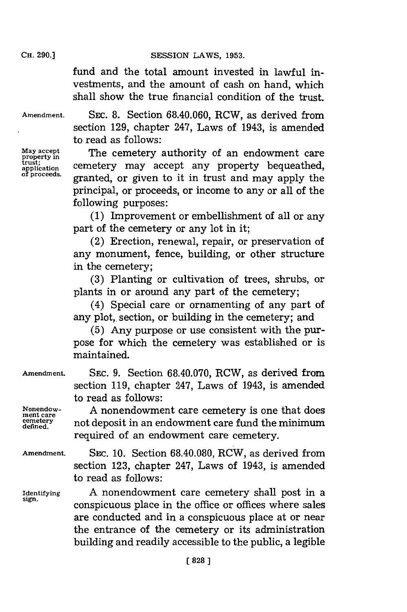fund and the total amount invested in lawful investments, and the amount of cash on hand, which shall show the true financial condition of the trust.

**Amendment. SEC. 8.** Section **68.40.060,** RCW, as derived from section **129,** chapter 247, Laws of 1943, is amended to read as follows:

**property i** trust;<br>application<br>of proceeds.

**May accept** The cemetery authority of an endowment care cemetery may accept any property bequeathed, granted, or given to it in trust and may apply the principal, or proceeds, or income to any or all of the following purposes:

> **(1)** Improvement or embellishment of all or any part of the cemetery or any lot in it;

> (2) Erection, renewal, repair, or preservation of any monument, fence, building, or other structure in the cemetery;

> **(3)** Planting or cultivation of trees, shrubs, or plants in or around any part of the cemetery;

> (4) Special care or ornamenting of any part of any plot, section, or building in the cemetery; and

> **(5)** Any purpose or use consistent with the purpose for which the cemetery was established or is maintained.

> section **119,** chapter 247, Laws of 1943, is amended

not deposit in an endowment care fund the minimum

required of an endowment care cemetery.

**Amendment. SEC. 9.** Section **68.40.070,** RCW, as derived from

**Nonendow- A** nonendowment care cemetery is one that does **ment care defined.**

to read as follows:

**Amendment. SEC. 10.** Section **68.40.080,** RCW, as derived from section **123,** chapter 247, Laws of 1943, is amended to read as follows:

**Identifying A** nonendowment care cemetery shall post in a **sign.** conspicuous place in the office or offices where sales are conducted and in a conspicuous place at or near the entrance of the cemetery or its administration building and readily accessible to the public, a legible

# **CH. 290.]**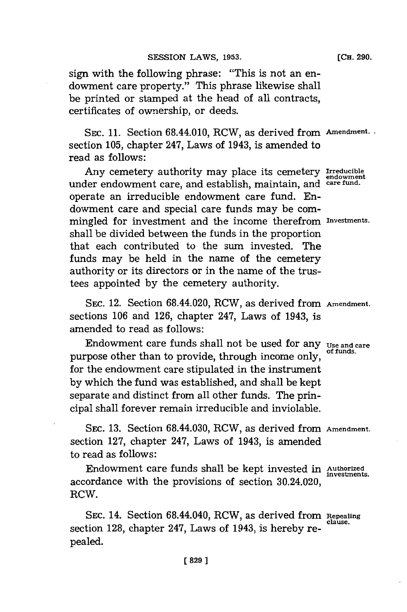sign with the following phrase: "This is not an endowment care property." This phrase likewise shall be printed or stamped at the head of all contracts, certificates of ownership, or deeds.

**SEC. 11.** Section 68.44.010, RCW, as derived from **Amendment.** section **105,** chapter 247, Laws of 1943, is amended to read as follows:

Any cemetery authority may place its cemetery **irreducible** under endowment care, and establish, maintain, and **care fund.** operate an irreducible endowment care fund. Endowment care and special care funds may be commingled for investment and the income therefrom **investments.** shall be divided between the funds in the proportion that each contributed to the sum invested. The funds may be held in the name of the cemetery authority or its directors or in the name of the trustees appointed **by** the cemetery authority.

SEC. 12. Section 68.44.020, RCW, as derived from **Amendment.** sections **106** and **126,** chapter 247, Laws of 1943, is amended to read as follows:

Endowment care funds shall not be used for any **Use and care**<br>of funds. purpose other than to provide, through income only, for the endowment care stipulated in the instrument **by** which the fund was established, and shall be kept separate and distinct from all other funds. The principal shall forever remain irreducible and inviolable.

**SEC. 13.** Section 68.44.030, RCW, as derived from **Amendment.** section **127,** chapter 247, Laws of 1943, is amended to read as follows:

Endowment care funds shall be kept invested in Authorized investments. accordance with the provisions of section 30.24.020, RCW

SEC. 14. Section 68.44.040, RCW, as derived from Repealing section 128, chapter 247, Laws of 1943, is hereby repealed.

**(CH. 290.**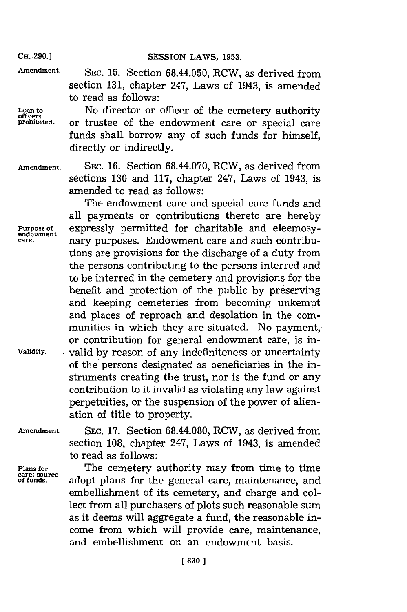**Amendment. SEC. 15.** Section 68.44.050, RCW, as derived from section **131,** chapter 247, Laws of 1943, is amended to read as follows:

**Loan to** No director or officer of the cemetery authority **officers** or trustee of the endowment care or special care funds shall borrow any of such funds for himself, directly or indirectly.

**Amendment. SEC. 16.** Section 68.44.070, RCW, as derived from sections **130** and **117,** chapter 247, Laws of 1943, is amended to read as follows:

The endowment care and special care funds and all payments or contributions thereto are hereby **Purpose of** expressly permitted for charitable and eleemosy-<br>care and purposes. Fridowment care and such contribu **care,** nary purposes. Endowment care and such contributions are provisions for the discharge of a duty from the persons contributing to the persons interred and to be interred in the cemetery and provisions for the benefit and protection of the public **by** preserving and keeping cemeteries from becoming unkempt and places of reproach and desolation in the communities in which they are situated. No payment, or contribution for general endowment care, is in-**Vaidity.** valid **by** reason of any indefiniteness or uncertainty of the persons designated as beneficiaries in the instruments creating the trust, nor is the fund or any contribution to it invalid as violating any law against perpetuities, or the suspension of the power of alienation of title to property.

**Amendment. SEC. 17.** Section 68.44.080, RCW, as derived from section **108,** chapter 247, Laws of 1943, is amended to read as follows:

Plans for **The cemetery authority may from time to time**<br>
of funds. adopt plans for the general care maintenance and adopt plans for the general care, maintenance, and embellishment of its cemetery, and charge and collect from all purchasers of plots such reasonable sum as it deems will aggregate a fund, the reasonable **in**come from which will provide care, maintenance, and embellishment on an endowment basis.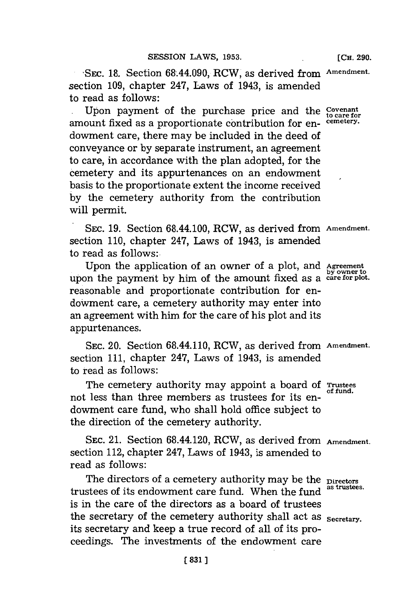**SEC. 18. Section 68.44.090, RCW, as derived from Amendment.** section **109,** chapter 247, Laws of 1943, is amended to read as follows:

Upon payment of the purchase price and the **Covenant to care for** amount fixed as a proportionate contribution for en- **cemetery.** dowment care, there may be included in the deed of conveyance or **by** separate instrument, an agreement to care, in accordance with the plan adopted, for the cemetery and its appurtenances on an endowment basis to the proportionate extent the income received **by** the cemetery authority from the contribution will permit.

**SEC. 19.** Section 68.44.100, RCW, as derived from **Amendment.** section **110,** chapter 247, Laws of 1943, is amended to read as follows:.

Upon the application of an owner of a plot, and **Agreement by owner to** upon the payment **by** him of the amount fixed as a **care for plot.** reasonable and proportionate contribution for endowment care, a cemetery authority may enter into an agreement with him for the care of his plot and its appurtenances.

**SEC.** 20. Section 68.44.110, RCW, as derived from **Amendment.** section **111,** chapter 247, Laws of 1943, is amended to read as follows:

The cemetery authority may appoint a board **of Trustees** not less than three members as trustees for its endowment care fund, who shall hold office subject to the direction of the cemetery authority.

**SEC.** 21. Section 68.44.120, RCW, as derived from **Amendment.** section 112, chapter 247, Laws of 1943, is amended to read as follows:

The directors of a cemetery authority may be the **Directors**<br>and as a fit and prime of sum fund, When  $d$ ,  $f_{\text{as}}$  is trustees. trustees of its endowment care fund. When the fund is in the care of the directors as a board of trustees the secretary of the cemetery authority shall act as <sub>Secretary</sub>. its secretary and keep a true record of all of its proceedings. The investments of the endowment care

**of fund.**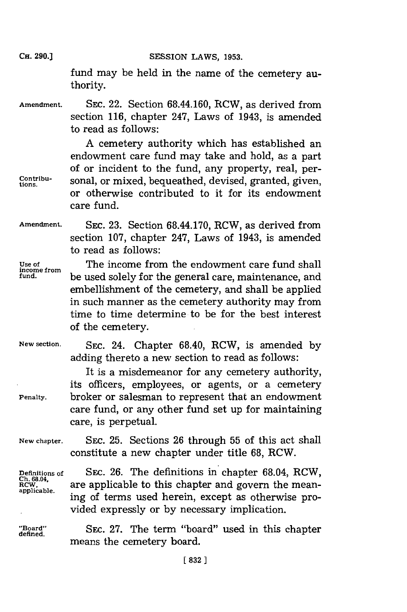fund may be held in the name of the cemetery authority.

Amendment. SEC. 22. Section 68.44.160, RCW, as derived from section **116,** chapter 247, Laws of 1943, is amended to read as follows:

**A** cemetery authority which has established an endowment care fund may take and hold, as a part of or incident to the fund, any property, real, per-Contribu-<br>tions sonal, or mixed, bequeathed, devised, granted, given, or otherwise contributed to it for its endowment care fund.

**Amendment. SEC. 23.** Section 68.44.170, RCW, as derived from section **107,** chapter 247, Laws of 1943, is amended to read as follows:

**income from**

**Use of** The income from the endowment care fund shall **fund.** be used solely for the general care, maintenance, and embellishment of the cemetery, and shall be applied in such manner as the cemetery authority may from time to time determine to be for the best interest of the cemetery.

**New section. SEC.** 24. Chapter 68.40, ROW, is amended **by** adding thereto a new section to read as follows:

It is a misdemeanor for any cemetery authority, its officers, employees, or agents, or a cemetery **Penalty.** broker or salesman to represent that an endowment care fund, or any other fund set up for maintaining care, is perpetual.

**New chapter. SEC. 25.** Sections **26** through **55** of this act shall constitute a new chapter under title **68,** ROW.

**Definitions of SEC. 26. The definitions in chapter 68.04, RCW, Ch. 68.04, are applicable to this chapter and govern the mean-**<br> **applicable.** ing of terms used herein, except as otherwise provided expressly or **by** necessary implication.

**"Board"** SEC. **27.** The term "board" used in this chapter **defined.** means the cemetery board.

**CH. 290.]**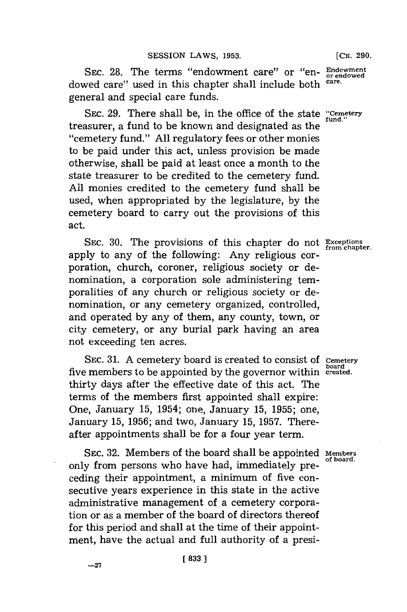SEC. 28. The terms "endowment care" or "en- **Endowment** dowed care" used in this chapter shall include both **care.** general and special care funds.

SEC. 29. There shall be, in the office of the state "Cemetery" treasurer, a fund to be known and designated as the ''cemetery fund.'' **All** regulatory fees or other monies to be paid under this act, unless provision be made otherwise, shall be paid at least once a month to the state treasurer to be credited to the cemetery fund. **All** monies credited to the cemetery fund shall be used, when appropriated **by** the legislature, **by** the cemetery board to carry out the provisions of this act.

SEc. **30.** The provisions of this chapter do not **Exceptions from chapter.** apply to any of the following: Any religious corporation, church, coroner, religious society or denomination, a corporation sole administering temporalities of any church or religious society or denomination, or any cemetery organized, controlled, and operated **by** any of them, any county, town, or city cemetery, or any burial park having an area not exceeding ten acres.

SEC. 31. A cemetery board is created to consist of **Cemetery board** five members to be appointed **by** the governor within **created.** thirty days after the effective date of this act. The terms of the members first appointed shall expire: One, January **15,** 1954; one, January **15, 1955;** one, January **15, 1956;** and two, January **15, 1957.** Thereafter appointments shall be for a four year term.

SEC. 32. Members of the board shall be appointed Members only from persons who have had, immediately preceding their appointment, a minimum of five consecutive years experience in this state in the active administrative management of a cemetery corporation or as a member of the board of directors thereof for this period and shall at the time of their appointment, have the actual and full authority of a presi-

**-27[83**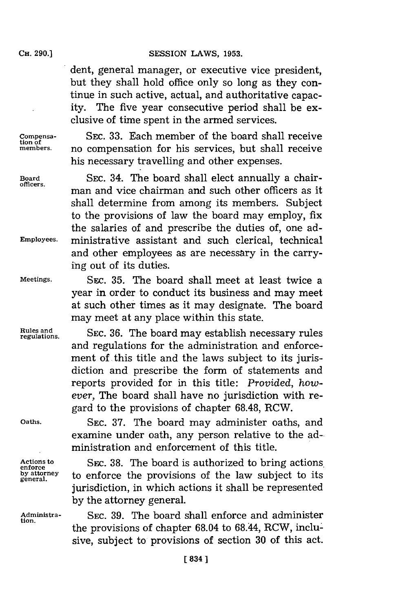dent, general manager, or executive vice president, but they shall hold office only so long as they continue in such active, actual, and authoritative capacity. The five year consecutive period shall be exclusive of time spent in the armed services.

**tion of**

**tion.**

**Compensa- SEC. 33.** Each member of the board shall receive no compensation for his services, but shall receive his necessary travelling and other expenses.

**Board SEC.** 34. The board shall elect annually a chairman and vice chairman and such other officers as it shall determine from among its members. Subject to the provisions of law the board may employ, fix the salaries of and prescribe the duties of, one ad-**Employees.** ministrative assistant and such clerical, technical and other employees as are necessary in the carrying out of its duties.

**Meetings. SEc. 35.** The board shall meet at least twice a year in order to conduct its business and may meet at such other times as it may designate. The board may meet at any place within this state.

**Rules and SEC. 36. The board may establish necessary rules**<br> **Rules and SEC. 36. The board may establish necessary rules** and regulations for the administration and enforcement of this title and the laws subject to its jurisdiction and prescribe the form of statements and reports provided for in this title: *Provided, however,* The board shall have no jurisdiction with regard to the provisions of chapter **68.48,** RCW.

**Oaths. SEC. 37.** The board may administer oaths, and examine under oath, any person relative to the administration and enforcement of this title.

Actions to SEC. 38. The board is authorized to bring actions.<br> **enforce** the provisions of the law subject to its by attorney to enforce the provisions of the law subject to its jurisdiction, in which actions it shall be represented **by** the attorney general.

**Administra- SEC. 39.** The board shall enforce and administer the provisions of chapter 68.04 to 68.44, RCW, inclusive, subject to provisions of section **30** of this act.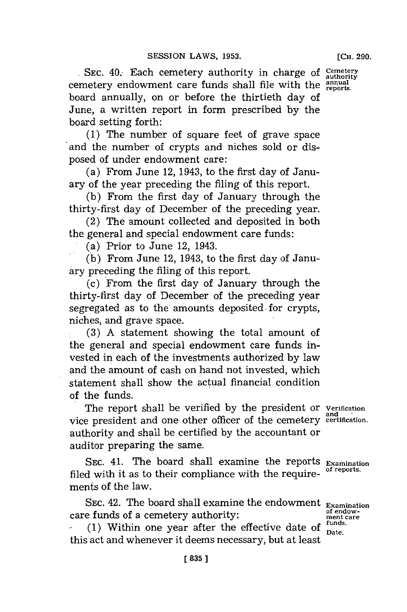SEC. 40. Each cemetery authority in charge of *Cemetery* cemetery endowment care funds shall file with the reports. board annually, on or before the thirtieth day of June, a written report in form prescribed **by** the board setting forth:

**(1)** The number of square feet of grave space and the number of crypts and niches sold or disposed of under endowment care:

(a) From June 12, 1943, to the first day of January of the year preceding the filing of this report.

**(b)** From the first day of January through the thirty-first day of December of the preceding year.

 $(2)$  The amount collected and deposited in both the general and special endowment care funds:

(a) Prior to June 12, 1943.

**(b)** From June 12, 1943, to the first day of January preceding the filing of this report.

(c) From the first day of January through the thirty-first day of December of the preceding year segregated as to the'amounts deposited for crypts, niches, and grave space.

**(3) A** statement showing the total amount of the general and special endowment care funds invested in each of the investments authorized **by** law and the amount of cash on hand not invested, which statement shall show the actual financial condition of the funds.

The report shall be verified by the president or **Verification and** vice president and one other officer of the cemetery **certification.** 'authority and shall be certified **by** the accountant or auditor preparing the same.

**SEC.** 41. The hoard shall examine the reports **Examination** filed with it as to their compliance with the requirements of the law.

SEC. 42. The board shall examine the endowment **Examination**<br> **Examination** of endow-<br> **Examination** care **care funds of a cemetery authority:**  $\alpha$ <sup>of end</sup><br>
carea (1) **ment careful careful careers**  $\alpha$ <sup>t tunds</sup>

(1) Within one year after the effective date of  $\frac{t}{\text{Date}}$ . this act and whenever it deems necessary, but at least

**[CH. 290.**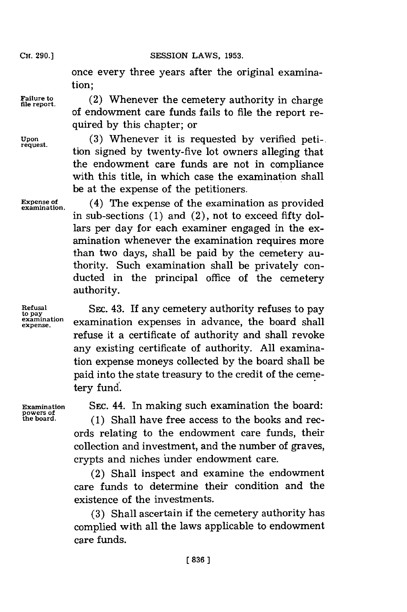once every three years after the original examination;

of endowment care funds fails to file the report re-

Failure to *(2)* Whenever the cemetery authority in charge

quired **by** this chapter; or **Upon (3)** Whenever it is requested **by** verified peti-. tion signed by twenty-five lot owners alleging that the endowment care funds are not in compliance with this title, in which case the examination shall be at the expense of the petitioners.

**Expense of** (4) The expense of the examination as provided in sub-sections (1) and (2), not to exceed fifty dollars per day for each examiner engaged in the examination whenever the examination requires more than two days, shall be paid **by** the cemetery authority. Such examination shall be privately conducted in the principal office of the cemetery authority.

**Refusal SEC. 43.** If any cemetery authority refuses to pay examination expenses in advance, the board shall expense. examination expenses in advance, the board shall refuse it a certificate of authority and shall revoke any existing certificate of authority. **All** examination expense moneys collected **by** the board shall be paid into the state treasury to the credit of the cemetery fund.

**powers of**

**Examination** SEC. 44. In making such examination the board:

**the board. (1)** Shall have free access to the books and records relating to the endowment care funds, their collection and investment, and the number of graves, crypts and niches under endowment care.

(2) Shall inspect and examine the endowment care funds to determine their condition and the existence of the investments.

**(3)** Shall ascertain if the cemetery authority has complied with all the laws applicable to endowment care funds.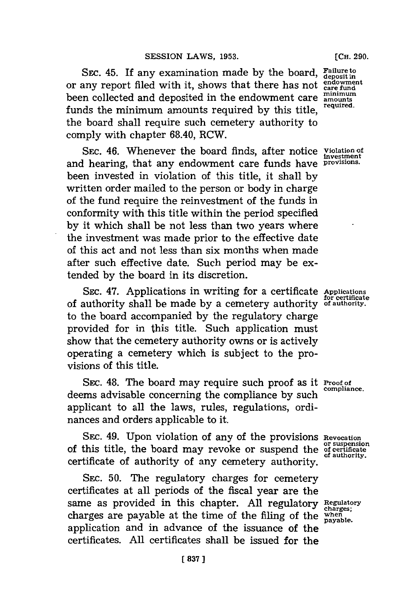**SEC.** 45. If any examination made **by** the board, **Failure to deposit in** or any report filed with it, shows that there has not endowned **been collected and deposited in the endowment care amounts** funds the minimum amounts required **by** this title, **required.** the board shall require such cemetery authority to comply with chapter 68.40, RCW.

SEC. 46. Whenever the board finds, after notice **Violation of** and hearing, that any endowment care funds have **provisions.** been invested in violation of this title, it shall **by** written order mailed to the person or body in charge of the fund require the reinvestment of the funds in conformity with this title within the period specified **by** it which shall be not less than two years where the investment was made prior to the effective date of this act and not less than six months when made after such effective date. Such period may be extended **by** the board in its discretion.

SEc. 47. Applications in writing for a certificate **Applications for certificate** of authority shall be made **by** a cemetery authority **of authority.** to the board accompanied **by** the regulatory charge provided for in this title. Such application must show that the cemetery authority owns or is actively operating a cemetery which is subject to the provisions of this title.

SEC. 48. The board may require such proof as it **Proof of** compliance. deems advisable concerning the compliance **by** such **compliance.** applicant to all the laws, rules, regulations, ordinances and orders applicable to it.

**SEC.** 49. Upon violation of any of the provisions **Revocation or suspension** of this title, the board may revoke or suspend the **of certificate** certificate of authority of any cemetery authority.

**SEC. 50.** The regulatory charges for cemetery certificates at all periods of the fiscal year are the same as provided in this chapter. **All** regulatory **Regulatory** charges are payable at the time of the filing of the when application and in advance of the issuance of the certificates. **All** certificates shall be issued for the